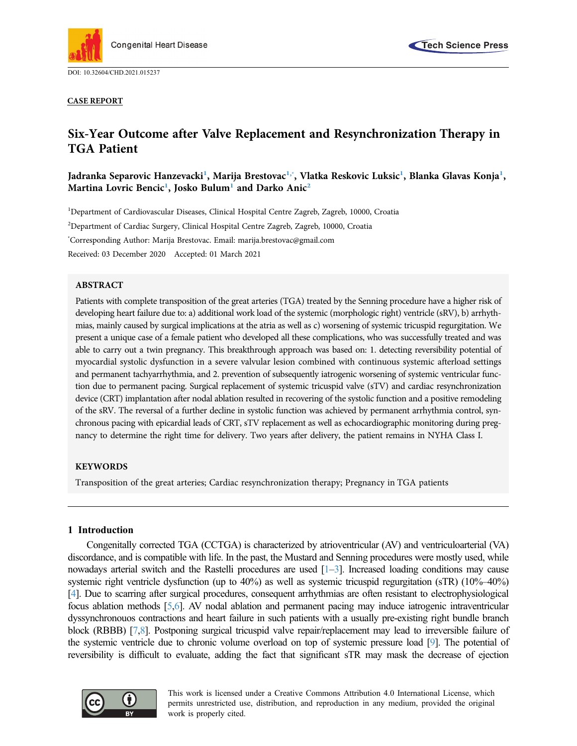





# Six-Year Outcome after Valve Replacement and Resynchronization Therapy in TGA Patient

Jadranka Separovic Hanzevacki<sup>[1](#page-0-0)</sup>, Marija Brestovac<sup>1,×</sup>, Vlatka Reskovic Luksic<sup>1</sup>, Blanka Glavas Konja<sup>1</sup>, ,<br>Martina Lovric Bencic<sup>[1](#page-0-0)</sup>, Josko Bulum<sup>1</sup> and Darko Anic<sup>[2](#page-0-2)</sup>

<span id="page-0-2"></span><span id="page-0-1"></span><span id="page-0-0"></span><sup>1</sup>Department of Cardiovascular Diseases, Clinical Hospital Centre Zagreb, Zagreb, 10000, Croatia 2 Department of Cardiac Surgery, Clinical Hospital Centre Zagreb, Zagreb, 10000, Croatia \* Corresponding Author: Marija Brestovac. Email: [marija.brestovac@gmail.com](mailto:marija.brestovac@gmail.com) Received: 03 December 2020 Accepted: 01 March 2021

## ABSTRACT

Patients with complete transposition of the great arteries (TGA) treated by the Senning procedure have a higher risk of developing heart failure due to: a) additional work load of the systemic (morphologic right) ventricle (sRV), b) arrhythmias, mainly caused by surgical implications at the atria as well as c) worsening of systemic tricuspid regurgitation. We present a unique case of a female patient who developed all these complications, who was successfully treated and was able to carry out a twin pregnancy. This breakthrough approach was based on: 1. detecting reversibility potential of myocardial systolic dysfunction in a severe valvular lesion combined with continuous systemic afterload settings and permanent tachyarrhythmia, and 2. prevention of subsequently iatrogenic worsening of systemic ventricular function due to permanent pacing. Surgical replacement of systemic tricuspid valve (sTV) and cardiac resynchronization device (CRT) implantation after nodal ablation resulted in recovering of the systolic function and a positive remodeling of the sRV. The reversal of a further decline in systolic function was achieved by permanent arrhythmia control, synchronous pacing with epicardial leads of CRT, sTV replacement as well as echocardiographic monitoring during pregnancy to determine the right time for delivery. Two years after delivery, the patient remains in NYHA Class I.

### KEYWORDS

Transposition of the great arteries; Cardiac resynchronization therapy; Pregnancy in TGA patients

## 1 Introduction

Congenitally corrected TGA (CCTGA) is characterized by atrioventricular (AV) and ventriculoarterial (VA) discordance, and is compatible with life. In the past, the Mustard and Senning procedures were mostly used, while nowadays arterial switch and the Rastelli procedures are used [\[1](#page-5-0)–[3\]](#page-5-1). Increased loading conditions may cause systemic right ventricle dysfunction (up to 40%) as well as systemic tricuspid regurgitation (sTR) (10%–40%) [\[4](#page-5-2)]. Due to scarring after surgical procedures, consequent arrhythmias are often resistant to electrophysiological focus ablation methods [\[5](#page-5-3)[,6](#page-5-4)]. AV nodal ablation and permanent pacing may induce iatrogenic intraventricular dyssynchronouos contractions and heart failure in such patients with a usually pre-existing right bundle branch block (RBBB) [\[7](#page-5-5),[8\]](#page-5-6). Postponing surgical tricuspid valve repair/replacement may lead to irreversible failure of the systemic ventricle due to chronic volume overload on top of systemic pressure load [\[9\]](#page-5-7). The potential of reversibility is difficult to evaluate, adding the fact that significant sTR may mask the decrease of ejection



This work is licensed under a Creative Commons Attribution 4.0 International License, which permits unrestricted use, distribution, and reproduction in any medium, provided the original work is properly cited.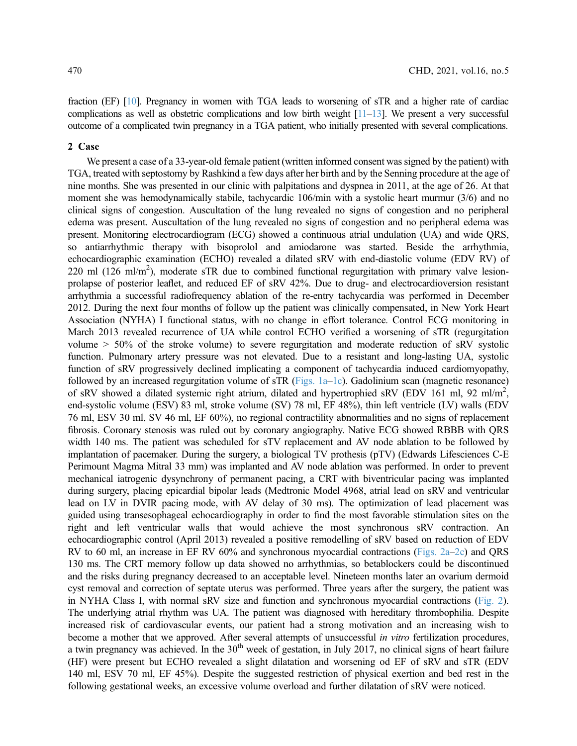fraction (EF) [\[10\]](#page-5-8). Pregnancy in women with TGA leads to worsening of sTR and a higher rate of cardiac complications as well as obstetric complications and low birth weight  $[11-13]$  $[11-13]$  $[11-13]$  $[11-13]$ . We present a very successful outcome of a complicated twin pregnancy in a TGA patient, who initially presented with several complications.

#### 2 Case

We present a case of a 33-year-old female patient (written informed consent was signed by the patient) with TGA, treated with septostomy by Rashkind a few days after her birth and by the Senning procedure at the age of nine months. She was presented in our clinic with palpitations and dyspnea in 2011, at the age of 26. At that moment she was hemodynamically stabile, tachycardic 106/min with a systolic heart murmur (3/6) and no clinical signs of congestion. Auscultation of the lung revealed no signs of congestion and no peripheral edema was present. Auscultation of the lung revealed no signs of congestion and no peripheral edema was present. Monitoring electrocardiogram (ECG) showed a continuous atrial undulation (UA) and wide QRS, so antiarrhythmic therapy with bisoprolol and amiodarone was started. Beside the arrhythmia, echocardiographic examination (ECHO) revealed a dilated sRV with end-diastolic volume (EDV RV) of 220 ml  $(126 \text{ ml/m}^2)$ , moderate sTR due to combined functional regurgitation with primary valve lesionprolapse of posterior leaflet, and reduced EF of sRV 42%. Due to drug- and electrocardioversion resistant arrhythmia a successful radiofrequency ablation of the re-entry tachycardia was performed in December 2012. During the next four months of follow up the patient was clinically compensated, in New York Heart Association (NYHA) I functional status, with no change in effort tolerance. Control ECG monitoring in March 2013 revealed recurrence of UA while control ECHO verified a worsening of sTR (regurgitation volume > 50% of the stroke volume) to severe regurgitation and moderate reduction of sRV systolic function. Pulmonary artery pressure was not elevated. Due to a resistant and long-lasting UA, systolic function of sRV progressively declined implicating a component of tachycardia induced cardiomyopathy, followed by an increased regurgitation volume of sTR [\(Figs. 1a](#page-2-0)–[1c](#page-2-0)). Gadolinium scan (magnetic resonance) of sRV showed a dilated systemic right atrium, dilated and hypertrophied sRV (EDV 161 ml, 92 ml/m<sup>2</sup>, end-systolic volume (ESV) 83 ml, stroke volume (SV) 78 ml, EF 48%), thin left ventricle (LV) walls (EDV 76 ml, ESV 30 ml, SV 46 ml, EF 60%), no regional contractility abnormalities and no signs of replacement fibrosis. Coronary stenosis was ruled out by coronary angiography. Native ECG showed RBBB with QRS width 140 ms. The patient was scheduled for sTV replacement and AV node ablation to be followed by implantation of pacemaker. During the surgery, a biological TV prothesis (pTV) (Edwards Lifesciences C-E Perimount Magma Mitral 33 mm) was implanted and AV node ablation was performed. In order to prevent mechanical iatrogenic dysynchrony of permanent pacing, a CRT with biventricular pacing was implanted during surgery, placing epicardial bipolar leads (Medtronic Model 4968, atrial lead on sRV and ventricular lead on LV in DVIR pacing mode, with AV delay of 30 ms). The optimization of lead placement was guided using transesophageal echocardiography in order to find the most favorable stimulation sites on the right and left ventricular walls that would achieve the most synchronous sRV contraction. An echocardiographic control (April 2013) revealed a positive remodelling of sRV based on reduction of EDV RV to 60 ml, an increase in EF RV 60% and synchronous myocardial contractions ([Figs. 2a](#page-3-0)–[2c\)](#page-3-0) and QRS 130 ms. The CRT memory follow up data showed no arrhythmias, so betablockers could be discontinued and the risks during pregnancy decreased to an acceptable level. Nineteen months later an ovarium dermoid cyst removal and correction of septate uterus was performed. Three years after the surgery, the patient was in NYHA Class I, with normal sRV size and function and synchronous myocardial contractions [\(Fig. 2\)](#page-3-0). The underlying atrial rhythm was UA. The patient was diagnosed with hereditary thrombophilia. Despite increased risk of cardiovascular events, our patient had a strong motivation and an increasing wish to become a mother that we approved. After several attempts of unsuccessful in vitro fertilization procedures, a twin pregnancy was achieved. In the  $30<sup>th</sup>$  week of gestation, in July 2017, no clinical signs of heart failure (HF) were present but ECHO revealed a slight dilatation and worsening od EF of sRV and sTR (EDV 140 ml, ESV 70 ml, EF 45%). Despite the suggested restriction of physical exertion and bed rest in the following gestational weeks, an excessive volume overload and further dilatation of sRV were noticed.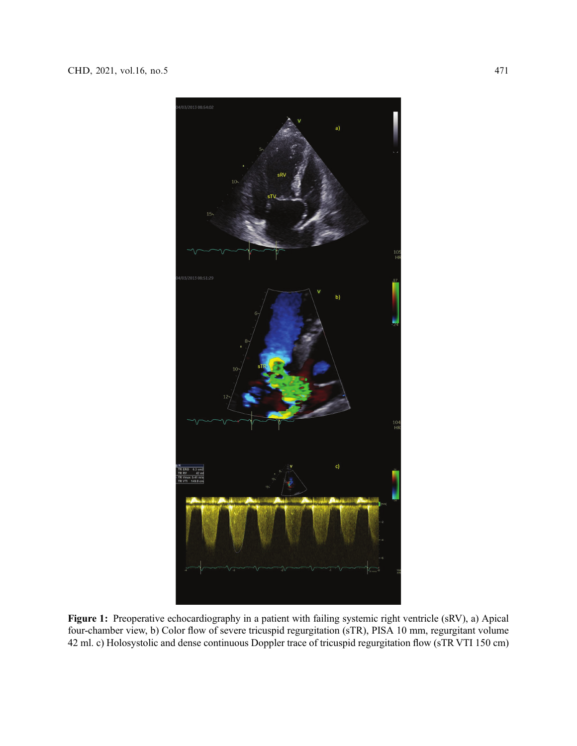<span id="page-2-0"></span>

Figure 1: Preoperative echocardiography in a patient with failing systemic right ventricle (sRV), a) Apical four-chamber view, b) Color flow of severe tricuspid regurgitation (sTR), PISA 10 mm, regurgitant volume 42 ml. c) Holosystolic and dense continuous Doppler trace of tricuspid regurgitation flow (sTR VTI 150 cm)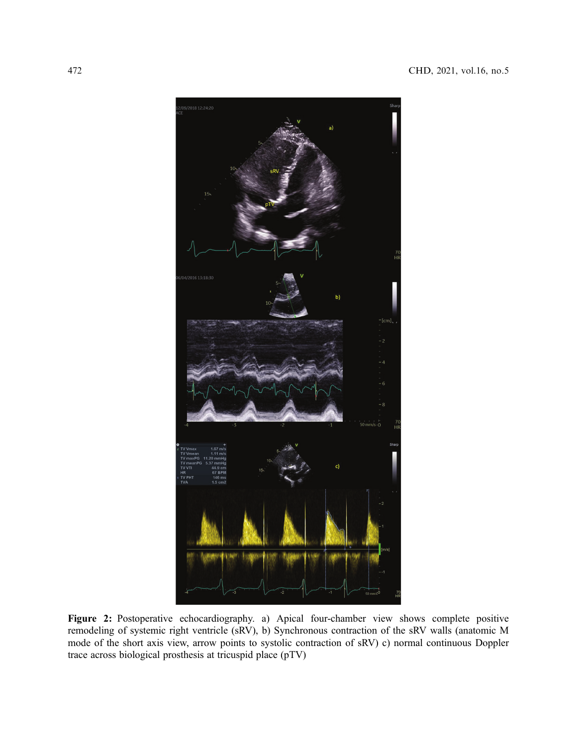<span id="page-3-0"></span>

Figure 2: Postoperative echocardiography. a) Apical four-chamber view shows complete positive remodeling of systemic right ventricle (sRV), b) Synchronous contraction of the sRV walls (anatomic M mode of the short axis view, arrow points to systolic contraction of sRV) c) normal continuous Doppler trace across biological prosthesis at tricuspid place (pTV)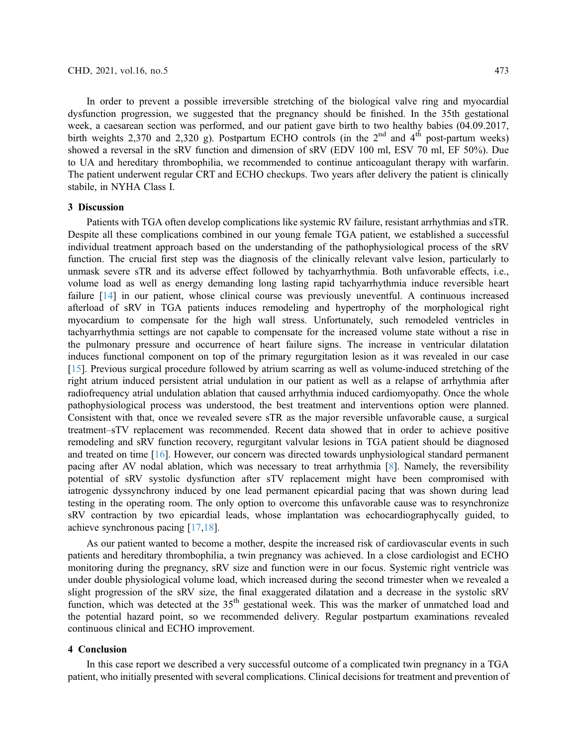In order to prevent a possible irreversible stretching of the biological valve ring and myocardial dysfunction progression, we suggested that the pregnancy should be finished. In the 35th gestational week, a caesarean section was performed, and our patient gave birth to two healthy babies (04.09.2017, birth weights 2,370 and 2,320 g). Postpartum ECHO controls (in the  $2<sup>nd</sup>$  and  $4<sup>th</sup>$  post-partum weeks) showed a reversal in the sRV function and dimension of sRV (EDV 100 ml, ESV 70 ml, EF 50%). Due to UA and hereditary thrombophilia, we recommended to continue anticoagulant therapy with warfarin. The patient underwent regular CRT and ECHO checkups. Two years after delivery the patient is clinically stabile, in NYHA Class I.

## 3 Discussion

Patients with TGA often develop complications like systemic RV failure, resistant arrhythmias and sTR. Despite all these complications combined in our young female TGA patient, we established a successful individual treatment approach based on the understanding of the pathophysiological process of the sRV function. The crucial first step was the diagnosis of the clinically relevant valve lesion, particularly to unmask severe sTR and its adverse effect followed by tachyarrhythmia. Both unfavorable effects, i.e., volume load as well as energy demanding long lasting rapid tachyarrhythmia induce reversible heart failure [\[14\]](#page-6-1) in our patient, whose clinical course was previously uneventful. A continuous increased afterload of sRV in TGA patients induces remodeling and hypertrophy of the morphological right myocardium to compensate for the high wall stress. Unfortunately, such remodeled ventricles in tachyarrhythmia settings are not capable to compensate for the increased volume state without a rise in the pulmonary pressure and occurrence of heart failure signs. The increase in ventricular dilatation induces functional component on top of the primary regurgitation lesion as it was revealed in our case [[15](#page-6-2)]. Previous surgical procedure followed by atrium scarring as well as volume-induced stretching of the right atrium induced persistent atrial undulation in our patient as well as a relapse of arrhythmia after radiofrequency atrial undulation ablation that caused arrhythmia induced cardiomyopathy. Once the whole pathophysiological process was understood, the best treatment and interventions option were planned. Consistent with that, once we revealed severe sTR as the major reversible unfavorable cause, a surgical treatment–sTV replacement was recommended. Recent data showed that in order to achieve positive remodeling and sRV function recovery, regurgitant valvular lesions in TGA patient should be diagnosed and treated on time [\[16\]](#page-6-3). However, our concern was directed towards unphysiological standard permanent pacing after AV nodal ablation, which was necessary to treat arrhythmia [[8\]](#page-5-6). Namely, the reversibility potential of sRV systolic dysfunction after sTV replacement might have been compromised with iatrogenic dyssynchrony induced by one lead permanent epicardial pacing that was shown during lead testing in the operating room. The only option to overcome this unfavorable cause was to resynchronize sRV contraction by two epicardial leads, whose implantation was echocardiographycally guided, to achieve synchronous pacing [[17](#page-6-4)[,18](#page-6-5)].

As our patient wanted to become a mother, despite the increased risk of cardiovascular events in such patients and hereditary thrombophilia, a twin pregnancy was achieved. In a close cardiologist and ECHO monitoring during the pregnancy, sRV size and function were in our focus. Systemic right ventricle was under double physiological volume load, which increased during the second trimester when we revealed a slight progression of the sRV size, the final exaggerated dilatation and a decrease in the systolic sRV function, which was detected at the 35<sup>th</sup> gestational week. This was the marker of unmatched load and the potential hazard point, so we recommended delivery. Regular postpartum examinations revealed continuous clinical and ECHO improvement.

### 4 Conclusion

In this case report we described a very successful outcome of a complicated twin pregnancy in a TGA patient, who initially presented with several complications. Clinical decisions for treatment and prevention of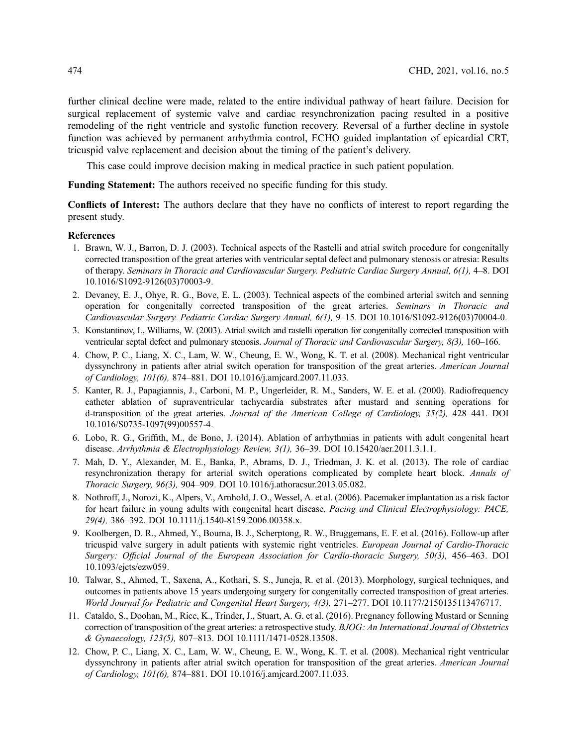further clinical decline were made, related to the entire individual pathway of heart failure. Decision for surgical replacement of systemic valve and cardiac resynchronization pacing resulted in a positive remodeling of the right ventricle and systolic function recovery. Reversal of a further decline in systole function was achieved by permanent arrhythmia control, ECHO guided implantation of epicardial CRT, tricuspid valve replacement and decision about the timing of the patient's delivery.

This case could improve decision making in medical practice in such patient population.

Funding Statement: The authors received no specific funding for this study.

Conflicts of Interest: The authors declare that they have no conflicts of interest to report regarding the present study.

#### References

- <span id="page-5-0"></span>1. Brawn, W. J., Barron, D. J. (2003). Technical aspects of the Rastelli and atrial switch procedure for congenitally corrected transposition of the great arteries with ventricular septal defect and pulmonary stenosis or atresia: Results of therapy. Seminars in Thoracic and Cardiovascular Surgery. Pediatric Cardiac Surgery Annual, 6(1), 4–8. DOI [10.1016/S1092-9126\(03\)70003-9.](http://dx.doi.org/10.1016/S1092-9126(03)70003-9)
- 2. Devaney, E. J., Ohye, R. G., Bove, E. L. (2003). Technical aspects of the combined arterial switch and senning operation for congenitally corrected transposition of the great arteries. Seminars in Thoracic and Cardiovascular Surgery. Pediatric Cardiac Surgery Annual, 6(1), 9–15. DOI [10.1016/S1092-9126\(03\)70004-0.](http://dx.doi.org/10.1016/S1092-9126(03)70004-0)
- <span id="page-5-1"></span>3. Konstantinov, I., Williams, W. (2003). Atrial switch and rastelli operation for congenitally corrected transposition with ventricular septal defect and pulmonary stenosis. Journal of Thoracic and Cardiovascular Surgery, 8(3), 160-166.
- <span id="page-5-2"></span>4. Chow, P. C., Liang, X. C., Lam, W. W., Cheung, E. W., Wong, K. T. et al. (2008). Mechanical right ventricular dyssynchrony in patients after atrial switch operation for transposition of the great arteries. American Journal of Cardiology, 101(6), 874–881. DOI [10.1016/j.amjcard.2007.11.033](http://dx.doi.org/10.1016/j.amjcard.2007.11.033).
- <span id="page-5-3"></span>5. Kanter, R. J., Papagiannis, J., Carboni, M. P., Ungerleider, R. M., Sanders, W. E. et al. (2000). Radiofrequency catheter ablation of supraventricular tachycardia substrates after mustard and senning operations for d-transposition of the great arteries. Journal of the American College of Cardiology, 35(2), 428–441. DOI [10.1016/S0735-1097\(99\)00557-4.](http://dx.doi.org/10.1016/S0735-1097(99)00557-4)
- <span id="page-5-4"></span>6. Lobo, R. G., Griffith, M., de Bono, J. (2014). Ablation of arrhythmias in patients with adult congenital heart disease. Arrhythmia & Electrophysiology Review, 3(1), 36–39. DOI [10.15420/aer.2011.3.1.1.](http://dx.doi.org/10.15420/aer.2011.3.1.1)
- <span id="page-5-5"></span>7. Mah, D. Y., Alexander, M. E., Banka, P., Abrams, D. J., Triedman, J. K. et al. (2013). The role of cardiac resynchronization therapy for arterial switch operations complicated by complete heart block. Annals of Thoracic Surgery, 96(3), 904–909. DOI [10.1016/j.athoracsur.2013.05.082](http://dx.doi.org/10.1016/j.athoracsur.2013.05.082).
- <span id="page-5-6"></span>8. Nothroff, J., Norozi, K., Alpers, V., Arnhold, J. O., Wessel, A. et al. (2006). Pacemaker implantation as a risk factor for heart failure in young adults with congenital heart disease. Pacing and Clinical Electrophysiology: PACE, 29(4), 386–392. DOI [10.1111/j.1540-8159.2006.00358.x](http://dx.doi.org/10.1111/j.1540-8159.2006.00358.x).
- <span id="page-5-7"></span>9. Koolbergen, D. R., Ahmed, Y., Bouma, B. J., Scherptong, R. W., Bruggemans, E. F. et al. (2016). Follow-up after tricuspid valve surgery in adult patients with systemic right ventricles. European Journal of Cardio-Thoracic Surgery: Official Journal of the European Association for Cardio-thoracic Surgery, 50(3), 456–463. DOI [10.1093/ejcts/ezw059](http://dx.doi.org/10.1093/ejcts/ezw059).
- <span id="page-5-8"></span>10. Talwar, S., Ahmed, T., Saxena, A., Kothari, S. S., Juneja, R. et al. (2013). Morphology, surgical techniques, and outcomes in patients above 15 years undergoing surgery for congenitally corrected transposition of great arteries. World Journal for Pediatric and Congenital Heart Surgery, 4(3), 271–277. DOI [10.1177/2150135113476717.](http://dx.doi.org/10.1177/2150135113476717)
- <span id="page-5-9"></span>11. Cataldo, S., Doohan, M., Rice, K., Trinder, J., Stuart, A. G. et al. (2016). Pregnancy following Mustard or Senning correction of transposition of the great arteries: a retrospective study. BJOG: An International Journal of Obstetrics & Gynaecology, 123(5), 807–813. DOI [10.1111/1471-0528.13508.](http://dx.doi.org/10.1111/1471-0528.13508)
- 12. Chow, P. C., Liang, X. C., Lam, W. W., Cheung, E. W., Wong, K. T. et al. (2008). Mechanical right ventricular dyssynchrony in patients after atrial switch operation for transposition of the great arteries. American Journal of Cardiology, 101(6), 874–881. DOI [10.1016/j.amjcard.2007.11.033](http://dx.doi.org/10.1016/j.amjcard.2007.11.033).